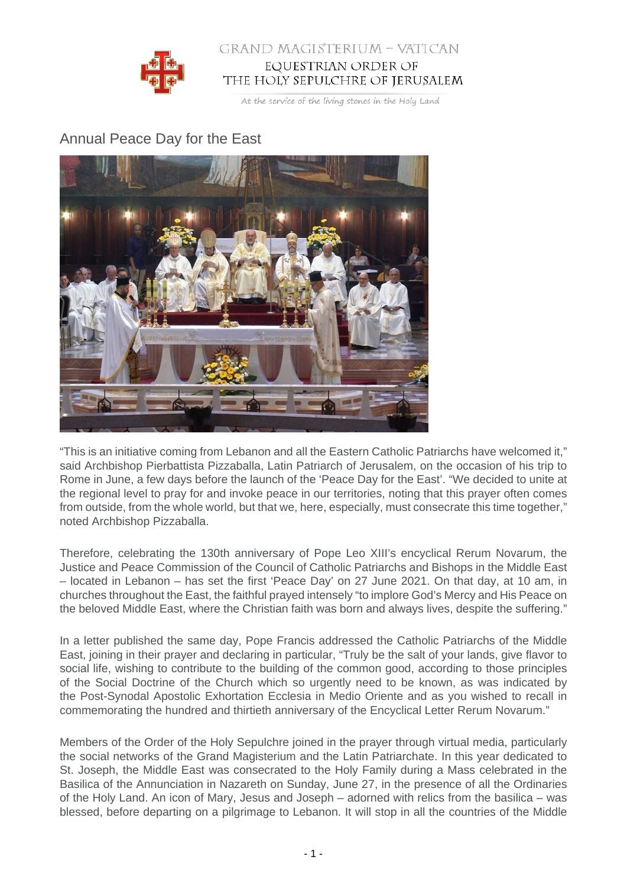

## GRAND MAGISTERIUM - VATICAN EQUESTRIAN ORDER OF THE HOLY SEPULCHRE OF JERUSALEM

At the service of the living stones in the Holy Land

## Annual Peace Day for the East



"This is an initiative coming from Lebanon and all the Eastern Catholic Patriarchs have welcomed it," said Archbishop Pierbattista Pizzaballa, Latin Patriarch of Jerusalem, on the occasion of his trip to Rome in June, a few days before the launch of the 'Peace Day for the East'. "We decided to unite at the regional level to pray for and invoke peace in our territories, noting that this prayer often comes from outside, from the whole world, but that we, here, especially, must consecrate this time together," noted Archbishop Pizzaballa.

Therefore, celebrating the 130th anniversary of Pope Leo XIII's encyclical Rerum Novarum, the Justice and Peace Commission of the Council of Catholic Patriarchs and Bishops in the Middle East – located in Lebanon – has set the first 'Peace Day' on 27 June 2021. On that day, at 10 am, in churches throughout the East, the faithful prayed intensely "to implore God's Mercy and His Peace on the beloved Middle East, where the Christian faith was born and always lives, despite the suffering."

In a letter published the same day, Pope Francis addressed the Catholic Patriarchs of the Middle East, joining in their prayer and declaring in particular, "Truly be the salt of your lands, give flavor to social life, wishing to contribute to the building of the common good, according to those principles of the Social Doctrine of the Church which so urgently need to be known, as was indicated by the Post-Synodal Apostolic Exhortation Ecclesia in Medio Oriente and as you wished to recall in commemorating the hundred and thirtieth anniversary of the Encyclical Letter Rerum Novarum."

Members of the Order of the Holy Sepulchre joined in the prayer through virtual media, particularly the social networks of the Grand Magisterium and the Latin Patriarchate. In this year dedicated to St. Joseph, the Middle East was consecrated to the Holy Family during a Mass celebrated in the Basilica of the Annunciation in Nazareth on Sunday, June 27, in the presence of all the Ordinaries of the Holy Land. An icon of Mary, Jesus and Joseph – adorned with relics from the basilica – was blessed, before departing on a pilgrimage to Lebanon. It will stop in all the countries of the Middle